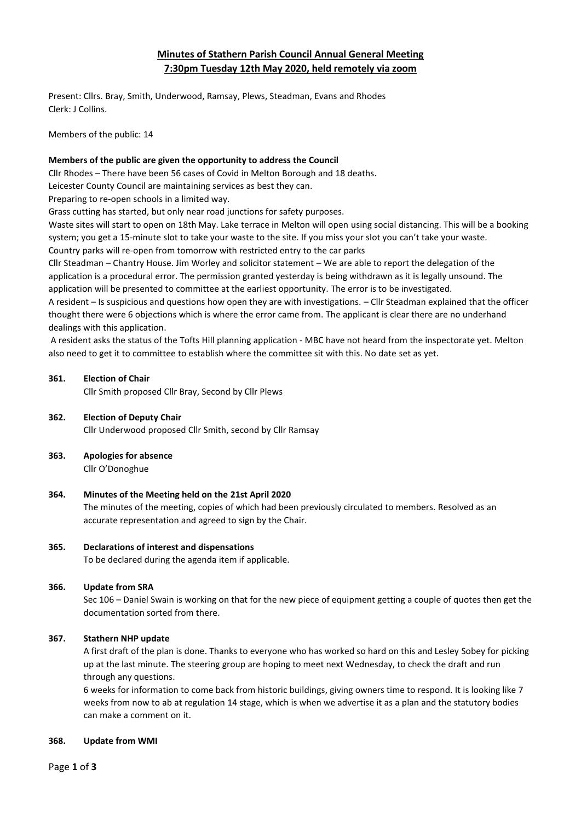# **Minutes of Stathern Parish Council Annual General Meeting 7:30pm Tuesday 12th May 2020, held remotely via zoom**

Present: Cllrs. Bray, Smith, Underwood, Ramsay, Plews, Steadman, Evans and Rhodes Clerk: J Collins.

Members of the public: 14

# **Members of the public are given the opportunity to address the Council**

Cllr Rhodes – There have been 56 cases of Covid in Melton Borough and 18 deaths.

Leicester County Council are maintaining services as best they can.

Preparing to re-open schools in a limited way.

Grass cutting has started, but only near road junctions for safety purposes.

Waste sites will start to open on 18th May. Lake terrace in Melton will open using social distancing. This will be a booking system; you get a 15-minute slot to take your waste to the site. If you miss your slot you can't take your waste. Country parks will re-open from tomorrow with restricted entry to the car parks

Cllr Steadman – Chantry House. Jim Worley and solicitor statement – We are able to report the delegation of the application is a procedural error. The permission granted yesterday is being withdrawn as it is legally unsound. The application will be presented to committee at the earliest opportunity. The error is to be investigated.

A resident – Is suspicious and questions how open they are with investigations. – Cllr Steadman explained that the officer thought there were 6 objections which is where the error came from. The applicant is clear there are no underhand dealings with this application.

A resident asks the status of the Tofts Hill planning application - MBC have not heard from the inspectorate yet. Melton also need to get it to committee to establish where the committee sit with this. No date set as yet.

## **361. Election of Chair**

Cllr Smith proposed Cllr Bray, Second by Cllr Plews

## **362. Election of Deputy Chair**

Cllr Underwood proposed Cllr Smith, second by Cllr Ramsay

#### **363. Apologies for absence**

Cllr O'Donoghue

# **364. Minutes of the Meeting held on the 21st April 2020**

The minutes of the meeting, copies of which had been previously circulated to members. Resolved as an accurate representation and agreed to sign by the Chair.

## **365. Declarations of interest and dispensations**

To be declared during the agenda item if applicable.

# **366. Update from SRA**

Sec 106 – Daniel Swain is working on that for the new piece of equipment getting a couple of quotes then get the documentation sorted from there.

# **367. Stathern NHP update**

A first draft of the plan is done. Thanks to everyone who has worked so hard on this and Lesley Sobey for picking up at the last minute. The steering group are hoping to meet next Wednesday, to check the draft and run through any questions.

6 weeks for information to come back from historic buildings, giving owners time to respond. It is looking like 7 weeks from now to ab at regulation 14 stage, which is when we advertise it as a plan and the statutory bodies can make a comment on it.

#### **368. Update from WMI**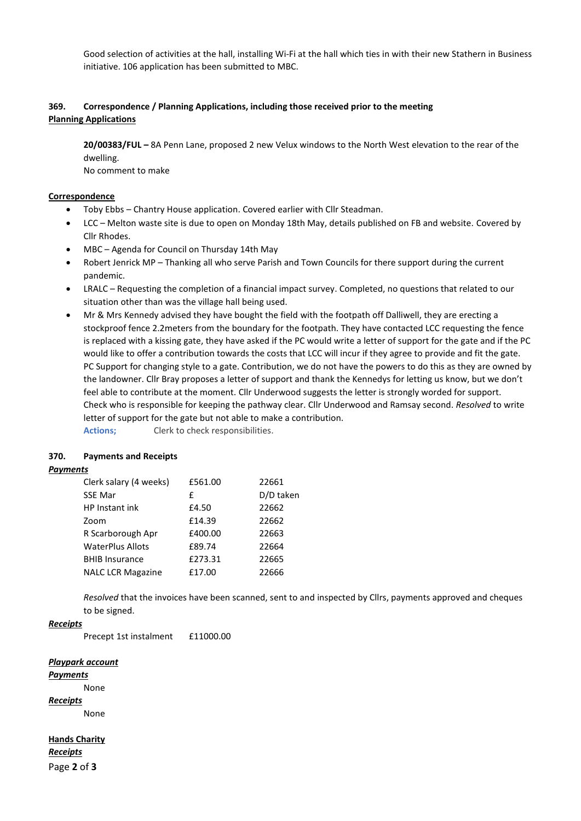Good selection of activities at the hall, installing Wi-Fi at the hall which ties in with their new Stathern in Business initiative. 106 application has been submitted to MBC.

# **369. Correspondence / Planning Applications, including those received prior to the meeting Planning Applications**

**20/00383/FUL –** 8A Penn Lane, proposed 2 new Velux windows to the North West elevation to the rear of the dwelling.

No comment to make

# **Correspondence**

- Toby Ebbs Chantry House application. Covered earlier with Cllr Steadman.
- LCC Melton waste site is due to open on Monday 18th May, details published on FB and website. Covered by Cllr Rhodes.
- MBC Agenda for Council on Thursday 14th May
- Robert Jenrick MP Thanking all who serve Parish and Town Councils for there support during the current pandemic.
- LRALC Requesting the completion of a financial impact survey. Completed, no questions that related to our situation other than was the village hall being used.
- Mr & Mrs Kennedy advised they have bought the field with the footpath off Dalliwell, they are erecting a stockproof fence 2.2meters from the boundary for the footpath. They have contacted LCC requesting the fence is replaced with a kissing gate, they have asked if the PC would write a letter of support for the gate and if the PC would like to offer a contribution towards the costs that LCC will incur if they agree to provide and fit the gate. PC Support for changing style to a gate. Contribution, we do not have the powers to do this as they are owned by the landowner. Cllr Bray proposes a letter of support and thank the Kennedys for letting us know, but we don't feel able to contribute at the moment. Cllr Underwood suggests the letter is strongly worded for support. Check who is responsible for keeping the pathway clear. Cllr Underwood and Ramsay second. *Resolved* to write letter of support for the gate but not able to make a contribution. Actions; Clerk to check responsibilities.

## **370. Payments and Receipts**

## *Payments*

| Clerk salary (4 weeks)   | £561.00 | 22661     |
|--------------------------|---------|-----------|
| <b>SSE Mar</b>           | £       | D/D taken |
| HP Instant ink           | £4.50   | 22662     |
| Zoom                     | £14.39  | 22662     |
| R Scarborough Apr        | £400.00 | 22663     |
| <b>WaterPlus Allots</b>  | £89.74  | 22664     |
| <b>BHIB Insurance</b>    | £273.31 | 22665     |
| <b>NALC LCR Magazine</b> | £17.00  | 22666     |

*Resolved* that the invoices have been scanned, sent to and inspected by Cllrs, payments approved and cheques to be signed.

## *Receipts*

Precept 1st instalment £11000.00

## *Playpark account*

*Payments*

None

*Receipts*

None

Page **2** of **3 Hands Charity** *Receipts*